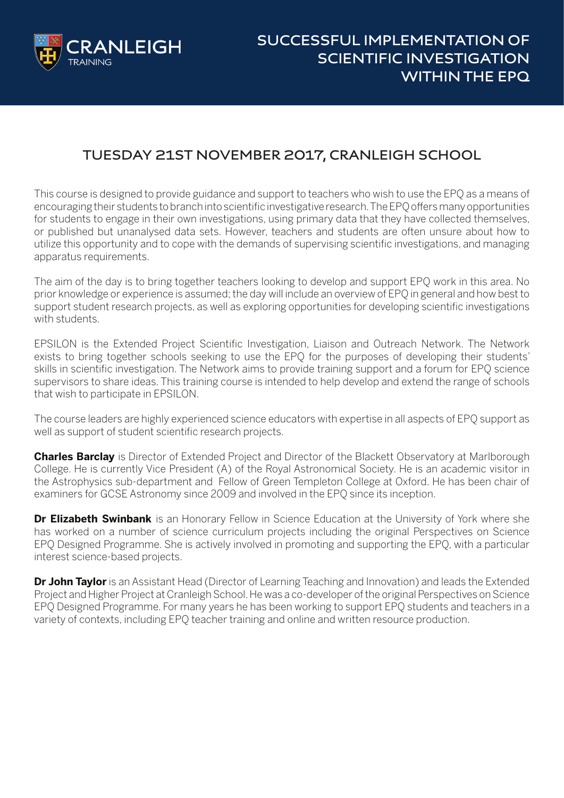

## **TUESDAY 21ST NOVEMBER 2017, CRANLEIGH SCHOOL**

This course is designed to provide guidance and support to teachers who wish to use the EPQ as a means of encouraging their students to branch into scientific investigative research. The EPQ offers many opportunities for students to engage in their own investigations, using primary data that they have collected themselves, or published but unanalysed data sets. However, teachers and students are often unsure about how to utilize this opportunity and to cope with the demands of supervising scientific investigations, and managing apparatus requirements.

The aim of the day is to bring together teachers looking to develop and support EPQ work in this area. No prior knowledge or experience is assumed; the day will include an overview of EPQ in general and how best to support student research projects, as well as exploring opportunities for developing scientific investigations with students.

EPSILON is the Extended Project Scientific Investigation, Liaison and Outreach Network. The Network exists to bring together schools seeking to use the EPQ for the purposes of developing their students' skills in scientific investigation. The Network aims to provide training support and a forum for EPQ science supervisors to share ideas. This training course is intended to help develop and extend the range of schools that wish to participate in EPSILON.

The course leaders are highly experienced science educators with expertise in all aspects of EPQ support as well as support of student scientific research projects.

**Charles Barclay** is Director of Extended Project and Director of the Blackett Observatory at Marlborough College. He is currently Vice President (A) of the Royal Astronomical Society. He is an academic visitor in the Astrophysics sub-department and Fellow of Green Templeton College at Oxford. He has been chair of examiners for GCSE Astronomy since 2009 and involved in the EPQ since its inception.

**Dr Elizabeth Swinbank** is an Honorary Fellow in Science Education at the University of York where she has worked on a number of science curriculum projects including the original Perspectives on Science EPQ Designed Programme. She is actively involved in promoting and supporting the EPQ, with a particular interest science-based projects.

**Dr John Taylor** is an Assistant Head (Director of Learning Teaching and Innovation) and leads the Extended Project and Higher Project at Cranleigh School. He was a co-developer of the original Perspectives on Science EPQ Designed Programme. For many years he has been working to support EPQ students and teachers in a variety of contexts, including EPQ teacher training and online and written resource production.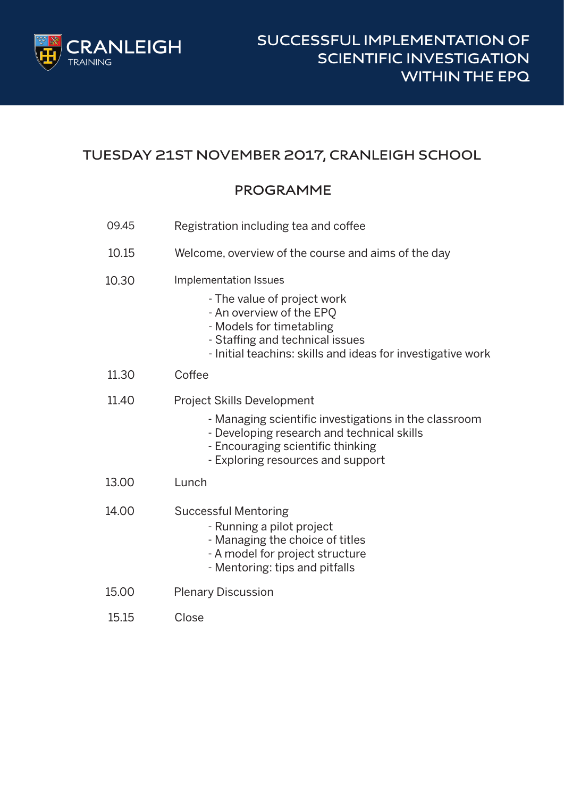

# **TUESDAY 21ST NOVEMBER 2017, CRANLEIGH SCHOOL**

#### **PROGRAMME**

| 09.45 | Registration including tea and coffee                                                                                                                                                                              |
|-------|--------------------------------------------------------------------------------------------------------------------------------------------------------------------------------------------------------------------|
| 10.15 | Welcome, overview of the course and aims of the day                                                                                                                                                                |
| 10.30 | Implementation Issues<br>- The value of project work<br>- An overview of the EPQ<br>- Models for timetabling<br>- Staffing and technical issues<br>- Initial teachins: skills and ideas for investigative work     |
| 11.30 | Coffee                                                                                                                                                                                                             |
| 11.40 | <b>Project Skills Development</b><br>- Managing scientific investigations in the classroom<br>- Developing research and technical skills<br>- Encouraging scientific thinking<br>- Exploring resources and support |
| 13.00 | Lunch                                                                                                                                                                                                              |
| 14.00 | <b>Successful Mentoring</b><br>- Running a pilot project<br>- Managing the choice of titles<br>- A model for project structure<br>- Mentoring: tips and pitfalls                                                   |
| 15.00 | <b>Plenary Discussion</b>                                                                                                                                                                                          |
| 15.15 | Close                                                                                                                                                                                                              |